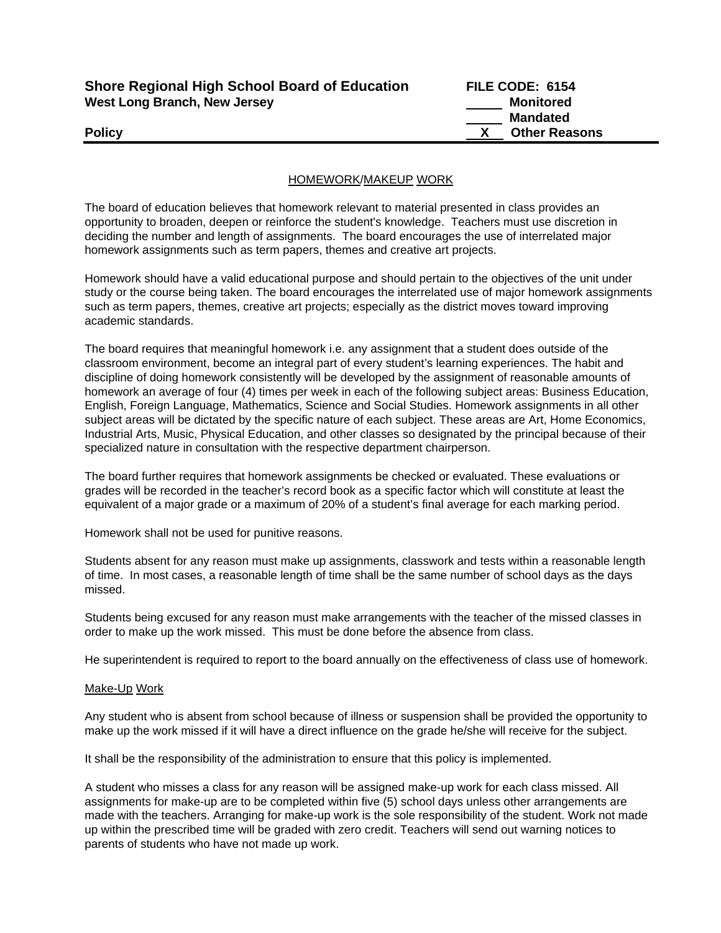| <b>Shore Regional High School Board of Education</b> |  |
|------------------------------------------------------|--|
| <b>West Long Branch, New Jersey</b>                  |  |

**FILE CODE: 6154 Monitored Mandated Policy X Other Reasons** 

## HOMEWORK/MAKEUP WORK

The board of education believes that homework relevant to material presented in class provides an opportunity to broaden, deepen or reinforce the student's knowledge. Teachers must use discretion in deciding the number and length of assignments. The board encourages the use of interrelated major homework assignments such as term papers, themes and creative art projects.

Homework should have a valid educational purpose and should pertain to the objectives of the unit under study or the course being taken. The board encourages the interrelated use of major homework assignments such as term papers, themes, creative art projects; especially as the district moves toward improving academic standards.

The board requires that meaningful homework i.e. any assignment that a student does outside of the classroom environment, become an integral part of every student's learning experiences. The habit and discipline of doing homework consistently will be developed by the assignment of reasonable amounts of homework an average of four (4) times per week in each of the following subject areas: Business Education, English, Foreign Language, Mathematics, Science and Social Studies. Homework assignments in all other subject areas will be dictated by the specific nature of each subject. These areas are Art, Home Economics, Industrial Arts, Music, Physical Education, and other classes so designated by the principal because of their specialized nature in consultation with the respective department chairperson.

The board further requires that homework assignments be checked or evaluated. These evaluations or grades will be recorded in the teacher's record book as a specific factor which will constitute at least the equivalent of a major grade or a maximum of 20% of a student's final average for each marking period.

Homework shall not be used for punitive reasons.

Students absent for any reason must make up assignments, classwork and tests within a reasonable length of time. In most cases, a reasonable length of time shall be the same number of school days as the days missed.

Students being excused for any reason must make arrangements with the teacher of the missed classes in order to make up the work missed. This must be done before the absence from class.

He superintendent is required to report to the board annually on the effectiveness of class use of homework.

### Make-Up Work

Any student who is absent from school because of illness or suspension shall be provided the opportunity to make up the work missed if it will have a direct influence on the grade he/she will receive for the subject.

It shall be the responsibility of the administration to ensure that this policy is implemented.

A student who misses a class for any reason will be assigned make-up work for each class missed. All assignments for make-up are to be completed within five (5) school days unless other arrangements are made with the teachers. Arranging for make-up work is the sole responsibility of the student. Work not made up within the prescribed time will be graded with zero credit. Teachers will send out warning notices to parents of students who have not made up work.